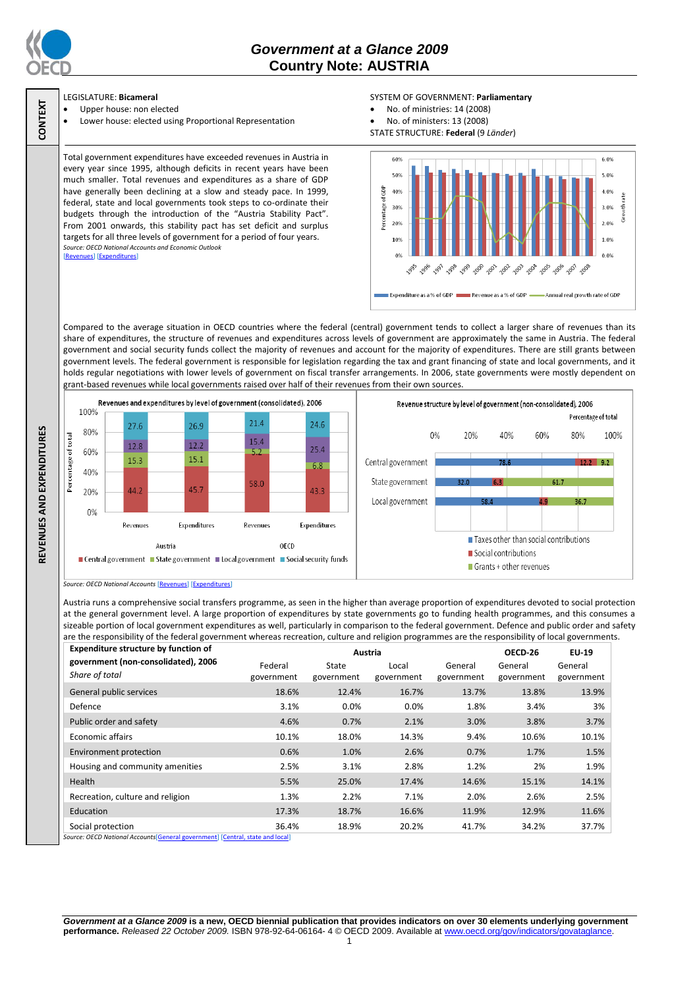

**CONTEXT**

**REVENUES AND EXPENDITURES**

REVENUES AND EXPENDITURES

# *Government at a Glance 2009*  **Country Note: AUSTRIA**

# LEGISLATURE: **Bicameral**

- Upper house: non elected
- Lower house: elected using Proportional Representation

## SYSTEM OF GOVERNMENT: **Parliamentary**

- No. of ministries: 14 (2008)
- No. of ministers: 13 (2008)

STATE STRUCTURE: **Federal** (9 *Länder*)

Total government expenditures have exceeded revenues in Austria in every year since 1995, although deficits in recent years have been much smaller. Total revenues and expenditures as a share of GDP have generally been declining at a slow and steady pace. In 1999, federal, state and local governments took steps to co-ordinate their budgets through the introduction of the "Austria Stability Pact". From 2001 onwards, this stability pact has set deficit and surplus targets for all three levels of government for a period of four years. *Source: OECD National Accounts and Economic Outlook* ues] [\[Expenditures\]](http://dx.doi.org/10.1787/723433536816)



Compared to the average situation in OECD countries where the federal (central) government tends to collect a larger share of revenues than its share of expenditures, the structure of revenues and expenditures across levels of government are approximately the same in Austria. The federal government and social security funds collect the majority of revenues and account for the majority of expenditures. There are still grants between government levels. The federal government is responsible for legislation regarding the tax and grant financing of state and local governments, and it holds regular negotiations with lower levels of government on fiscal transfer arrangements. In 2006, state governments were mostly dependent on grant-based revenues while local governments raised over half of their revenues from their own sources.



*Source: OECD National Accounts* [\[Revenues\]](http://dx.doi.org/10.1787/723418413857) [\[Expenditures\]](http://dx.doi.org/10.1787/723508524025)

Austria runs a comprehensive social transfers programme, as seen in the higher than average proportion of expenditures devoted to social protection at the general government level. A large proportion of expenditures by state governments go to funding health programmes, and this consumes a sizeable portion of local government expenditures as well, particularly in comparison to the federal government. Defence and public order and safety are the responsibility of the federal government whereas recreation, culture and religion programmes are the responsibility of local governments.

| <b>Expenditure structure by function of</b>                                                        | Austria    |            |            |            | OECD-26    | EU-19      |
|----------------------------------------------------------------------------------------------------|------------|------------|------------|------------|------------|------------|
| government (non-consolidated), 2006                                                                | Federal    | State      | Local      | General    | General    | General    |
| Share of total                                                                                     | government | government | government | government | government | government |
| General public services                                                                            | 18.6%      | 12.4%      | 16.7%      | 13.7%      | 13.8%      | 13.9%      |
| Defence                                                                                            | 3.1%       | $0.0\%$    | $0.0\%$    | 1.8%       | 3.4%       | 3%         |
| Public order and safety                                                                            | 4.6%       | 0.7%       | 2.1%       | 3.0%       | 3.8%       | 3.7%       |
| Economic affairs                                                                                   | 10.1%      | 18.0%      | 14.3%      | 9.4%       | 10.6%      | 10.1%      |
| <b>Environment protection</b>                                                                      | 0.6%       | 1.0%       | 2.6%       | 0.7%       | 1.7%       | 1.5%       |
| Housing and community amenities                                                                    | 2.5%       | 3.1%       | 2.8%       | 1.2%       | 2%         | 1.9%       |
| Health                                                                                             | 5.5%       | 25.0%      | 17.4%      | 14.6%      | 15.1%      | 14.1%      |
| Recreation, culture and religion                                                                   | 1.3%       | 2.2%       | 7.1%       | 2.0%       | 2.6%       | 2.5%       |
| Education                                                                                          | 17.3%      | 18.7%      | 16.6%      | 11.9%      | 12.9%      | 11.6%      |
| Social protection<br>Cource: OECD National Accounts General government) [Central, state and local] | 36.4%      | 18.9%      | 20.2%      | 41.7%      | 34.2%      | 37.7%      |

*Source: OECD National Accounts*[\[General government\]](http://dx.doi.org/10.1787/723501646741) [\[Central, state and local\]](http://dx.doi.org/10.1787/723508524025)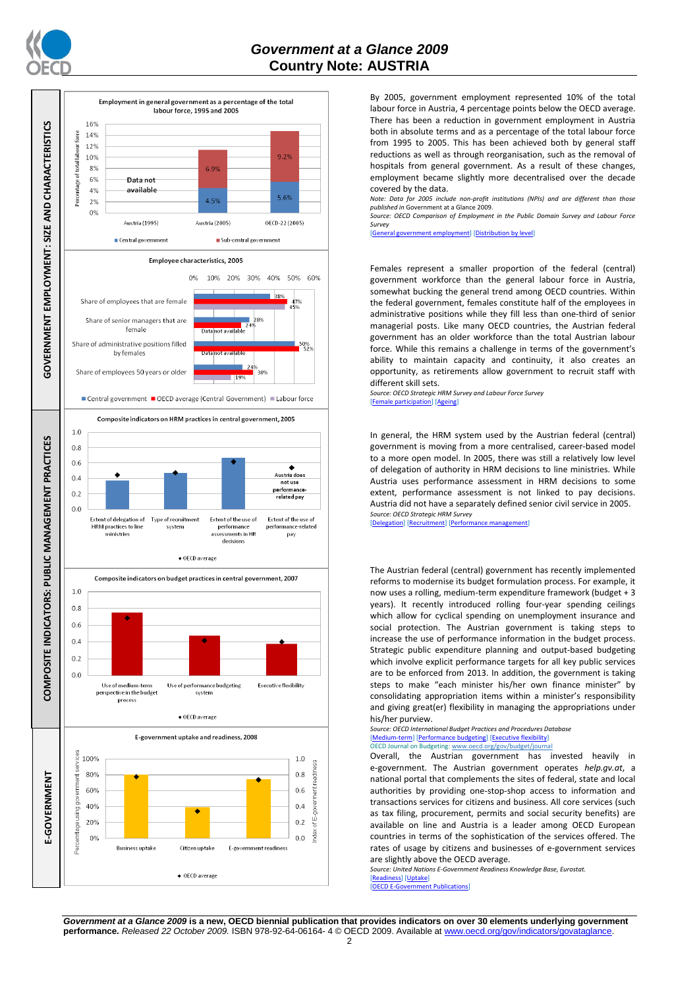



By 2005, government employment represented 10% of the total labour force in Austria, 4 percentage points below the OECD average. There has been a reduction in government employment in Austria both in absolute terms and as a percentage of the total labour force from 1995 to 2005. This has been achieved both by general staff reductions as well as through reorganisation, such as the removal of hospitals from general government. As a result of these changes, employment became slightly more decentralised over the decade covered by the data.

*Note: Data for 2005 include non-profit institutions (NPIs) and are different than those published in* Government at a Glance 2009.

*Source: OECD Comparison of Employment in the Public Domain Survey and Labour Force Survey*

[\[General government employment\]](http://dx.doi.org/10.1787/723622503117) [\[Distribution by level\]](http://dx.doi.org/10.1787/723627140760)

Females represent a smaller proportion of the federal (central) government workforce than the general labour force in Austria, somewhat bucking the general trend among OECD countries. Within the federal government, females constitute half of the employees in administrative positions while they fill less than one-third of senior managerial posts. Like many OECD countries, the Austrian federal government has an older workforce than the total Austrian labour force. While this remains a challenge in terms of the government's ability to maintain capacity and continuity, it also creates an opportunity, as retirements allow government to recruit staff with different skill sets.

*Source: OECD Strategic HRM Survey and Labour Force Survey* [\[Female participation\]](http://dx.doi.org/10.1787/723642841533) [\[Ageing\]](http://dx.doi.org/10.1787/723656070327)

In general, the HRM system used by the Austrian federal (central) government is moving from a more centralised, career-based model to a more open model. In 2005, there was still a relatively low level of delegation of authority in HRM decisions to line ministries. While Austria uses performance assessment in HRM decisions to some extent, performance assessment is not linked to pay decisions. Austria did not have a separately defined senior civil service in 2005. *Source: OECD Strategic HRM Survey* 

[\[Delegation\]](http://dx.doi.org/10.1787/723663744332) [\[Recruitment\]](http://dx.doi.org/10.1787/723668744361) [\[Performance management\]](http://dx.doi.org/10.1787/723750171710)

The Austrian federal (central) government has recently implemented reforms to modernise its budget formulation process. For example, it now uses a rolling, medium-term expenditure framework (budget + 3 years). It recently introduced rolling four-year spending ceilings which allow for cyclical spending on unemployment insurance and social protection. The Austrian government is taking steps to increase the use of performance information in the budget process. Strategic public expenditure planning and output-based budgeting which involve explicit performance targets for all key public services are to be enforced from 2013. In addition, the government is taking steps to make "each minister his/her own finance minister" by consolidating appropriation items within a minister's responsibility and giving great(er) flexibility in managing the appropriations under his/her purview.

#### *Source: OECD International Budget Practices and Procedures Database* [\[Medium-term\]](http://dx.doi.org/10.1787/723856770865) [\[Performance budgeting\]](http://dx.doi.org/10.1787/723863437686) [\[Executive flexibility\]](http://dx.doi.org/10.1787/723876713213) OECD Journal on Budgeting[: www.oecd.org/gov/budget/journal](http://www.oecd.org/gov/budget/journal)

Overall, the Austrian government has invested heavily in e-government. The Austrian government operates *help.gv.at*, a national portal that complements the sites of federal, state and local authorities by providing one-stop-shop access to information and transactions services for citizens and business. All core services (such as tax filing, procurement, permits and social security benefits) are available on line and Austria is a leader among OECD European countries in terms of the sophistication of the services offered. The rates of usage by citizens and businesses of e-government services are slightly above the OECD average.

*Source: United Nations E-Government Readiness Knowledge Base, Eurostat.* [\[Readiness\]](http://dx.doi.org/10.1787/724248078408) [\[Uptake\]](http://dx.doi.org/10.1787/724264662272)

[\[OECD E-Government Publications\]](http://www.oecd.org/document/40/0,3343,en_2649_34129_41342248_1_1_1_1,00.html)

*Government at a Glance 2009* **is a new, OECD biennial publication that provides indicators on over 30 elements underlying government performance.** *Released 22 October 2009.* ISBN 978-92-64-06164- 4 © OECD 2009. Available at www.oecd.org/gov/indicators/govataglance.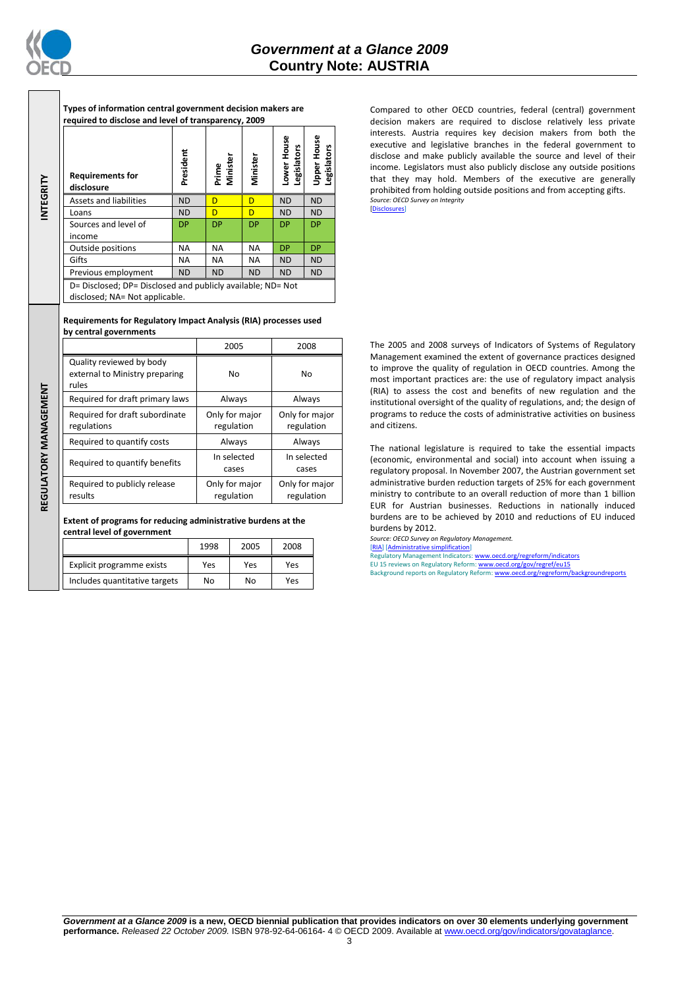

**INTEGRITY**

REGULATORY MANAGEMENT **REGULATORY MANAGEMENT**

**Types of information central government decision makers are required to disclose and level of transparency, 2009**

| <b>Requirements for</b><br>disclosure                                                         | President | Prime<br>Minister | Minister  | ower House<br>Legislators | <b>Upper House</b><br>Legislators |
|-----------------------------------------------------------------------------------------------|-----------|-------------------|-----------|---------------------------|-----------------------------------|
| Assets and liabilities                                                                        | <b>ND</b> | D                 | D         | <b>ND</b>                 | <b>ND</b>                         |
| Loans                                                                                         | <b>ND</b> | D                 | D         | <b>ND</b>                 | <b>ND</b>                         |
| Sources and level of                                                                          | <b>DP</b> | <b>DP</b>         | <b>DP</b> | <b>DP</b>                 | <b>DP</b>                         |
| income                                                                                        |           |                   |           |                           |                                   |
| Outside positions                                                                             | <b>NA</b> | <b>NA</b>         | <b>NA</b> | <b>DP</b>                 | <b>DP</b>                         |
| Gifts                                                                                         | ΝA        | <b>NA</b>         | NA.       | <b>ND</b>                 | <b>ND</b>                         |
| Previous employment                                                                           | <b>ND</b> | <b>ND</b>         | <b>ND</b> | <b>ND</b>                 | <b>ND</b>                         |
| D= Disclosed; DP= Disclosed and publicly available; ND= Not<br>disclosed; NA= Not applicable. |           |                   |           |                           |                                   |

### **Requirements for Regulatory Impact Analysis (RIA) processes used by central governments**

|                                                                     | 2005                         | 2008                         |
|---------------------------------------------------------------------|------------------------------|------------------------------|
| Quality reviewed by body<br>external to Ministry preparing<br>rules | No                           | No                           |
| Required for draft primary laws                                     | Always                       | Always                       |
| Required for draft subordinate<br>regulations                       | Only for major<br>regulation | Only for major<br>regulation |
| Required to quantify costs                                          | Always                       | Always                       |
| Required to quantify benefits                                       | In selected<br>cases         | In selected<br>cases         |
| Required to publicly release<br>results                             | Only for major<br>regulation | Only for major<br>regulation |

**Extent of programs for reducing administrative burdens at the central level of government**

|                               | 1998 | 2005 | 2008 |
|-------------------------------|------|------|------|
| Explicit programme exists     | Yes  | Yes  | Yes  |
| Includes quantitative targets | No   | No   | Yes  |

Compared to other OECD countries, federal (central) government decision makers are required to disclose relatively less private interests. Austria requires key decision makers from both the executive and legislative branches in the federal government to disclose and make publicly available the source and level of their income. Legislators must also publicly disclose any outside positions that they may hold. Members of the executive are generally prohibited from holding outside positions and from accepting gifts. *Source: OECD Survey on Integrity* [\[Disclosures\]](http://dx.doi.org/10.1787/724123642681)

The 2005 and 2008 surveys of Indicators of Systems of Regulatory Management examined the extent of governance practices designed to improve the quality of regulation in OECD countries. Among the most important practices are: the use of regulatory impact analysis (RIA) to assess the cost and benefits of new regulation and the institutional oversight of the quality of regulations, and; the design of programs to reduce the costs of administrative activities on business and citizens.

The national legislature is required to take the essential impacts (economic, environmental and social) into account when issuing a regulatory proposal. In November 2007, the Austrian government set administrative burden reduction targets of 25% for each government ministry to contribute to an overall reduction of more than 1 billion EUR for Austrian businesses. Reductions in nationally induced burdens are to be achieved by 2010 and reductions of EU induced burdens by 2012.

*Source: OECD Survey on Regulatory Management.* [\[RIA\]](http://dx.doi.org/10.1787/724045144354) [\[Administrative simplification\]](http://dx.doi.org/10.1787/724058851054)

Latory Management Indicators[: www.oecd.org/regreform/indicators](http://www.oecd.org/regreform/indicators) EU 15 reviews on Regulatory Reform[: www.oecd.org/gov/regref/eu15](http://www.oecd.org/gov/regref/eu15) Background reports on Regulatory Reform: www.oecd.org/regreform/l